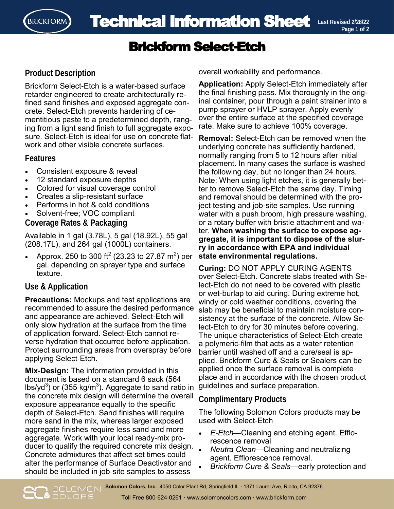

# Brickform Select-Etch

# **Product Description**

Brickform Select-Etch is a water-based surface retarder engineered to create architecturally refined sand finishes and exposed aggregate concrete. Select-Etch prevents hardening of cementitious paste to a predetermined depth, ranging from a light sand finish to full aggregate exposure. Select-Etch is ideal for use on concrete flatwork and other visible concrete surfaces.

### **Features**

- Consistent exposure & reveal
- 12 standard exposure depths
- Colored for visual coverage control
- Creates a slip-resistant surface
- Performs in hot & cold conditions
- Solvent-free; VOC compliant

**Coverage Rates & Packaging** 

Available in 1 gal (3.78L), 5 gal (18.92L), 55 gal (208.17L), and 264 gal (1000L) containers.

• Approx. 250 to 300 ft<sup>2</sup> (23.23 to 27.87 m<sup>2</sup>) per gal. depending on sprayer type and surface texture.

## **Use & Application**

**Precautions:** Mockups and test applications are recommended to assure the desired performance and appearance are achieved. Select-Etch will only slow hydration at the surface from the time of application forward. Select-Etch cannot reverse hydration that occurred before application. Protect surrounding areas from overspray before applying Select-Etch.

**Mix-Design:** The information provided in this document is based on a standard 6 sack (564 lbs/yd $^3$ ) or (355 kg/m $^3$ ). Aggregate to sand ratio in the concrete mix design will determine the overall exposure appearance equally to the specific depth of Select-Etch. Sand finishes will require more sand in the mix, whereas larger exposed aggregate finishes require less sand and more aggregate. Work with your local ready-mix producer to qualify the required concrete mix design. Concrete admixtures that affect set times could alter the performance of Surface Deactivator and should be included in job-site samples to assess

overall workability and performance.

**Application:** Apply Select-Etch immediately after the final finishing pass. Mix thoroughly in the original container, pour through a paint strainer into a pump sprayer or HVLP sprayer. Apply evenly over the entire surface at the specified coverage rate. Make sure to achieve 100% coverage.

**Removal:** Select-Etch can be removed when the underlying concrete has sufficiently hardened, normally ranging from 5 to 12 hours after initial placement. In many cases the surface is washed the following day, but no longer than 24 hours. Note: When using light etches, it is generally better to remove Select-Etch the same day. Timing and removal should be determined with the project testing and job-site samples. Use running water with a push broom, high pressure washing, or a rotary buffer with bristle attachment and water. **When washing the surface to expose aggregate, it is important to dispose of the slurry in accordance with EPA and individual state environmental regulations.** 

**Curing:** DO NOT APPLY CURING AGENTS over Select-Etch. Concrete slabs treated with Select-Etch do not need to be covered with plastic or wet-burlap to aid curing. During extreme hot, windy or cold weather conditions, covering the slab may be beneficial to maintain moisture consistency at the surface of the concrete. Allow Select-Etch to dry for 30 minutes before covering. The unique characteristics of Select-Etch create a polymeric-film that acts as a water retention barrier until washed off and a cure/seal is applied. Brickform Cure & Seals or Sealers can be applied once the surface removal is complete place and in accordance with the chosen product guidelines and surface preparation.

## **Complimentary Products**

The following Solomon Colors products may be used with Select-Etch

- *E-Etch*—Cleaning and etching agent. Efflorescence removal
- *Neutra Clean*—Cleaning and neutralizing agent. Efflorescence removal.
- *Brickform Cure & Seals*—early protection and

**Solomon Colors, Inc.** 4050 Color Plant Rd, Springfield IL · 1371 Laurel Ave, Rialto, CA 92376 **O**COLORS Toll Free 800-624-0261 · www.solomoncolors.com · www.brickform.com